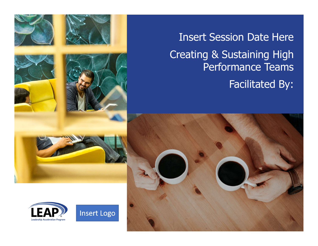



Insert Session Date Here Creating & Sustaining High Performance Teams Facilitated By:

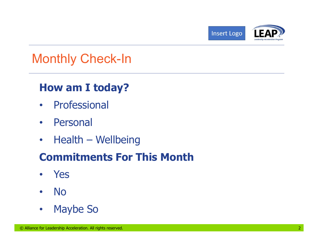



#### Monthly Check-In

#### How am I today?

- Professional
- Personal
- 

# • Personal<br>• Health — Wellbeing<br>**Commitments For This Month**<br>• Yes<br>• No<br>• Maybe So<br>© Allance for Leadership Acceleration. All rights reserved. **Finally Check-In<br>
How am I today?**<br>
• Professional<br>
• Personal<br>
• Health – Wellbeing<br> **Commitments For This Month** Commitments For This Month

- Yes
- No
- Maybe So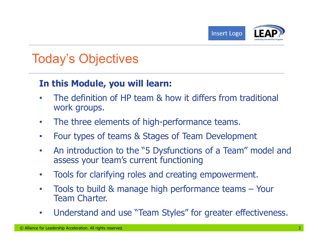

#### Today's Objectives

#### In this Module, you will learn:

- The definition of HP team & how it differs from traditional work groups.
- The three elements of high-performance teams.
- Four types of teams & Stages of Team Development
- The three elements or high-performance teams.<br>• Four types of teams & Stages of Team Development<br>• An introduction to the "5 Dysfunctions of a Team" model and<br>assess your team's current functioning<br>• Tools for clarifying • An introduction to the "5 Dysfunctions of a Team" model and assess your team's current functioning • The definition of HP team & how it differs from traditional<br>
• The three elements of high-performance teams.<br>
• Four types of teams & Stages of Team Development<br>
• An introduction to the "5 Dysfunctions of a Team" model
	- Tools for clarifying roles and creating empowerment.
	- Team Charter.
	- Understand and use "Team Styles" for greater effectiveness.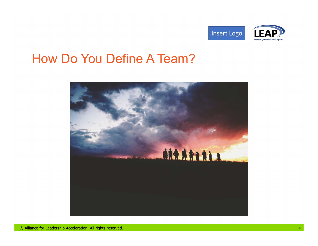



#### How Do You Define A Team?

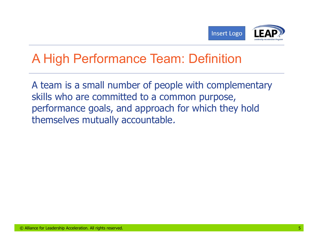

#### A High Performance Team: Definition

Chillance for Leadership Acceleration. All rights reserved. 5 A team is a small number of people with complementary skills who are committed to a common purpose, performance goals, and approach for which they hold themselves mutually accountable.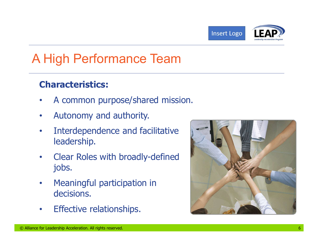



#### A High Performance Team

#### Characteristics:

- A common purpose/shared mission.
- Autonomy and authority.
- Interdependence and facilitative leadership.
- Clear Roles with broadly-defined jobs.
- Meaningful participation in decisions.
- Effective relationships.

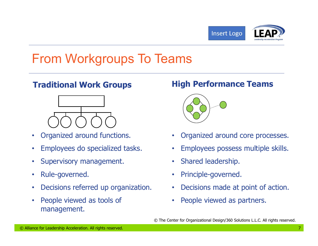



### From Workgroups To Teams



- Organized around functions.
- Employees do specialized tasks.
- Supervisory management.
- Rule-governed.
- Decisions referred up organization.
- <p>• Organized around functions.</p>\n<ul>\n<li>• Organized around functions.</li>\n<li>• Employes to specialized tasks.</li>\n<li>• Shared leadership.</li>\n<li>• Rule-governed.</li>\n<li>• Reigovered as to be specified in a particular way.</li>\n<li>• Pirinciple-governed.</li>\n<li>• Decisions referred up organization.</li>\n<li>• People viewed as to be given as to be given in a particular way.</li>\n<li>• People viewed as partners.</li>\n<li>• The Center for Organizational Design/360 solutions LLC. All rights reserved.</li>\n<li>• <b>□</b></li>\n<li>• <b>□</b></li>\n<li>• <b>□</b></li>\n<li>• <b>□</b></li>\n<li>• <b>□ • People viewed as tools of management.

#### **Traditional Work Groups Traditional Work Groups Act Algority High Performance Teams**



- Organized around core processes.
- Employees possess multiple skills.
- Shared leadership.
- Principle-governed.
- Decisions made at point of action.
- People viewed as partners.

© The Center for Organizational Design/360 Solutions L.L.C. All rights reserved.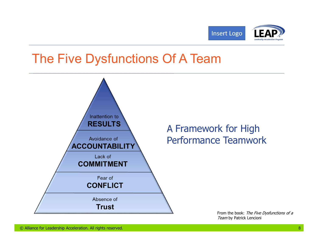



#### The Five Dysfunctions Of A Team



Team by Patrick Lencioni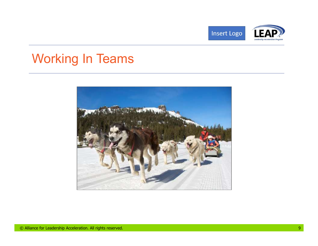



### Working In Teams

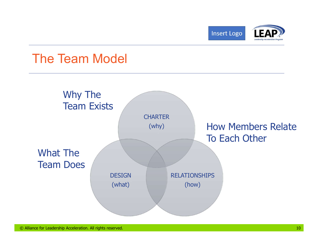



#### The Team Model

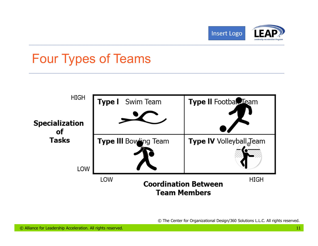



#### Four Types of Teams



© The Center for Organizational Design/360 Solutions L.L.C. All rights reserved.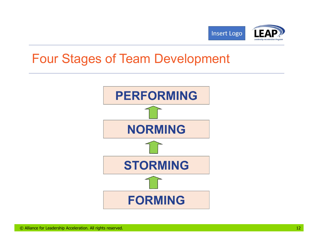

#### Four Stages of Team Development

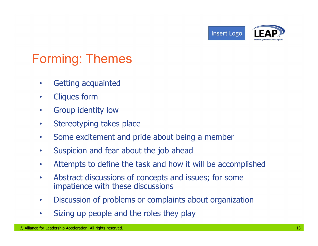



#### Forming: Themes

- Getting acquainted
- Cliques form
- Group identity low
- Stereotyping takes place
- Some excitement and pride about being a member
- Suspicion and fear about the job ahead
- Attempts to define the task and how it will be accomplished
- © Alliance for Leadership Acceleration. All rights reserved. 13 • Abstract discussions of concepts and issues; for some impatience with these discussions
	- Discussion of problems or complaints about organization
	- Sizing up people and the roles they play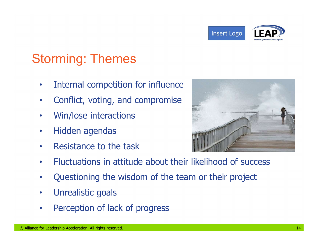



#### Storming: Themes

- Internal competition for influence
- Conflict, voting, and compromise
- Win/lose interactions
- Hidden agendas
- Resistance to the task



- Fluctuations in attitude about their likelihood of success
- Questioning the wisdom of the team or their project
- Unrealistic goals
- Perception of lack of progress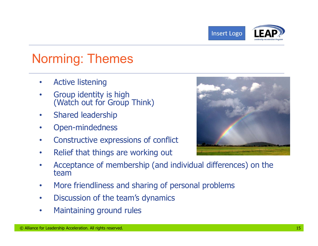

#### Norming: Themes

- Active listening
- Group identity is high<br>(Watch out for Group Think)
- Shared leadership
- Open-mindedness
- Constructive expressions of conflict
- Relief that things are working out



- <p>• Open-mindedness</p>\n<p>• Coestructive expressions of conflict</p>\n<p>• Relief that things are working out</p>\n<p>• Acceptance of membership (and individual differences) on the team</p>\n<p>• More friendliness and sharing of personal problems</p>\n<p>• Discussion of the team's dynamics</p>\n<p>• Malance for leadership Accelerity Acceleration. All rights reserved.</p>\n<p>•</p>\n<p>•</p>\n<p>•</p>\n<p>•</p>\n<p>•</p>\n<p>•</p>\n<p>•</p>\n<p>•</p>\n<p>•</p>\n<p>•</p>\n<p>•</p>\n<p>•</p>\n<p>•</p>\n<p>•</p>\n<p>•</p>\n<p>•</p>\n<p>•</p • Acceptance of membership (and individual differences) on the team
	- More friendliness and sharing of personal problems
	- Discussion of the team's dynamics
	- Maintaining ground rules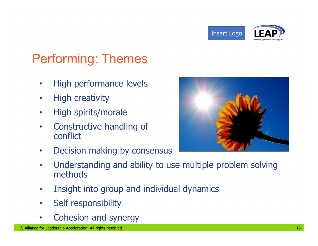

#### Performing: Themes

- High performance levels
- High creativity
- High spirits/morale
- Constructive handling of conflict
- Decision making by consensus



- <p>• Constructive handling of conflict</p>\n<p>• Decision making by consensus</p>\n<p>• Understanding and ability to use multiple problem solving methods</p>\n<p>• Inside this problem, which is a useful way for the same problem, which is a useful problem, which is a useful problem, which is a useful problem, which is a useful problem, and a special problem, which is a useful problem. At right, the second problem is a useful problem, and the second problem is a useful problem. The second problem is a useful problem, the second problem is a useful problem, which is a useful problem, which is a useful problem, which is a useful problem, which is a useful problem, which is a useful problem, which is a useful problem, which is a useful problem, which is a useful problem, which is a useful problem, which is a useful problem, which is a useful problem, which is a useful problem, which is a useful problem, which is a useful problem, which is a useful problem, which • Understanding and ability to use multiple problem solving methods
	- Insight into group and individual dynamics
	- Self responsibility
	- Cohesion and synergy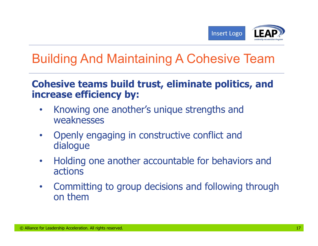

#### Building And Maintaining A Cohesive Team

#### Cohesive teams build trust, eliminate politics, and increase efficiency by:

- Knowing one another's unique strengths and weaknesses
- Openly engaging in constructive conflict and dialogue
- Holding one another accountable for behaviors and actions
- Openly engaging in constructive conflict and<br>dialogue<br>• Holding one another accountable for behaviors and<br>actions<br>• Committing to group decisions and following through<br>on them • Committing to group decisions and following through on them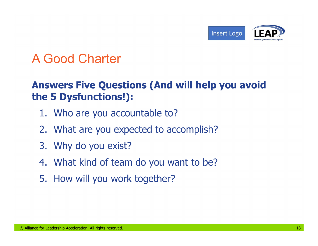

#### A Good Charter

## Answers Five Questions (And will help you avoid the 5 Dysfunctions!): 1. Who are you accountable to? EXPREED CORRECT (Insert Logo CONDITIONS)<br>2. What are you accountable to?<br>2. What are you accountable to?<br>2. What are you expected to accomplish?<br>3. Why do you exist? Sole Charter<br>
Sole Charter<br>
Sole Charter<br>
Summers Summer (And wilve 5 Dysfunctions!):<br>
1. Who are you accountable to?<br>
2. What are you expected to accor<br>
3. Why do you exist?<br>
4. What kind of team do you want 4. GOOG Charter<br> **Inswers Five Questions (And will help you avoid<br>
1.** Who are you accountable to?<br>
2. What are you expected to accomplish?<br>
3. Why do you exist?<br>
4. What kind of team do you want to be?<br>
5. How will you wo **INDER THE ALTE CONVIDED SERVIE SERVIE SUMIDE 5 Dysfunctions!):**<br> **EXECUTE:**<br>
1. Who are you expected to acco<br>
3. Why do you exist?<br>
4. What kind of team do you wan<br>
5. How will you work together?

- 
- 
- 
- © Alliance for Leadership Acceleration. All rights reserved. 18
	-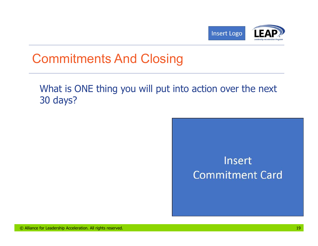



#### Commitments And Closing

#### What is ONE thing you will put into action over the next 30 days?